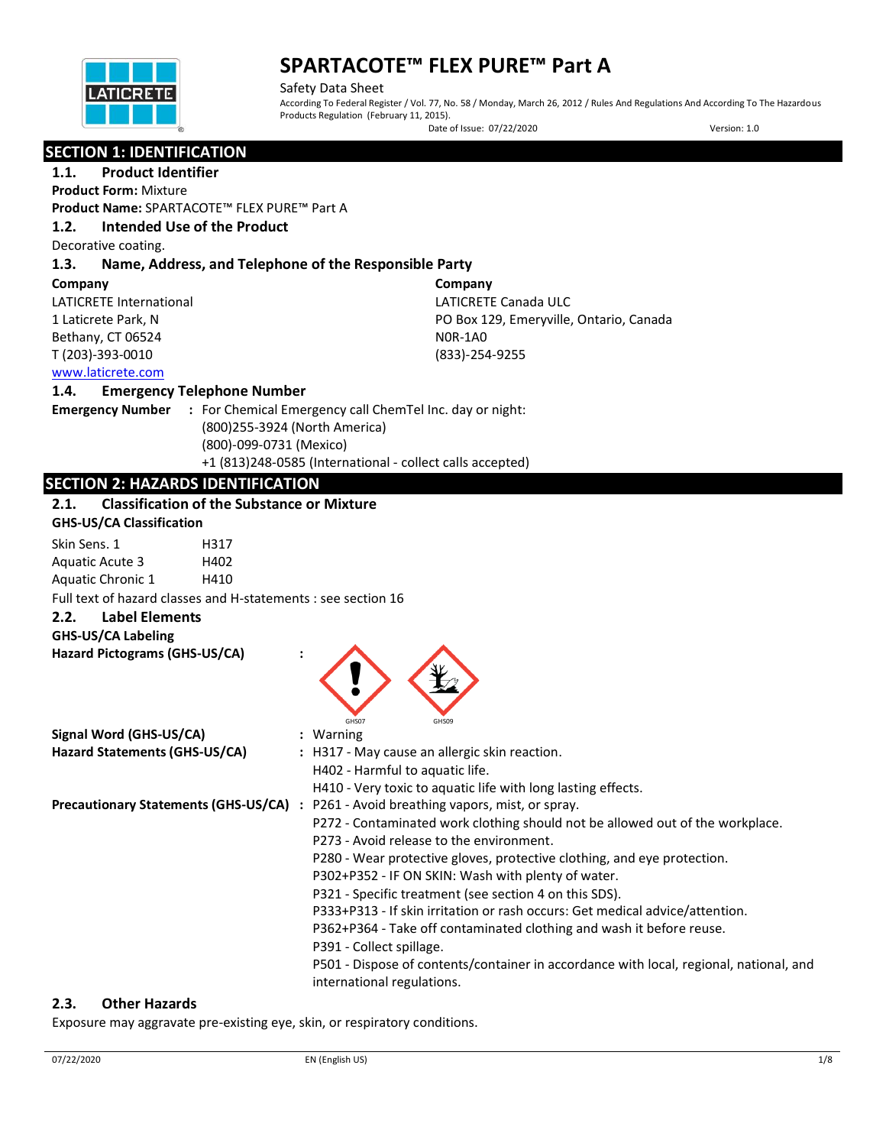

Safety Data Sheet According To Federal Register / Vol. 77, No. 58 / Monday, March 26, 2012 / Rules And Regulations And According To The Hazardous Products Regulation (February 11, 2015). Date of Issue: 07/22/2020 Version: 1.0

## **SECTION 1: IDENTIFICATION**

## **1.1. Product Identifier**

**Product Form:** Mixture

**Product Name:** SPARTACOTE™ FLEX PURE™ Part A

### **1.2. Intended Use of the Product**

Decorative coating.

## **1.3. Name, Address, and Telephone of the Responsible Party**

#### **Company**

LATICRETE International 1 Laticrete Park, N Bethany, CT 06524 T (203)-393-0010

**Company** LATICRETE Canada ULC PO Box 129, Emeryville, Ontario, Canada N0R-1A0 (833)-254-9255

## [www.laticrete.com](http://www.laticrete.com/)

### **1.4. Emergency Telephone Number**

**Emergency Number :** For Chemical Emergency call ChemTel Inc. day or night: (800)255-3924 (North America) (800)-099-0731 (Mexico) +1 (813)248-0585 (International - collect calls accepted)

## **SECTION 2: HAZARDS IDENTIFICATION**

## **2.1. Classification of the Substance or Mixture**

| <b>GHS-US/CA Classification</b>                               |                                                                                        |
|---------------------------------------------------------------|----------------------------------------------------------------------------------------|
| Skin Sens. 1<br>H317                                          |                                                                                        |
| Aquatic Acute 3<br>H402                                       |                                                                                        |
| Aquatic Chronic 1<br>H410                                     |                                                                                        |
| Full text of hazard classes and H-statements : see section 16 |                                                                                        |
| <b>Label Elements</b><br>2.2.<br><b>GHS-US/CA Labeling</b>    |                                                                                        |
| Hazard Pictograms (GHS-US/CA)                                 |                                                                                        |
| Signal Word (GHS-US/CA)                                       | GHS07<br>GHS09<br>$:$ Warning                                                          |
| Hazard Statements (GHS-US/CA)                                 | : H317 - May cause an allergic skin reaction.                                          |
|                                                               | H402 - Harmful to aquatic life.                                                        |
|                                                               | H410 - Very toxic to aquatic life with long lasting effects.                           |
|                                                               | Precautionary Statements (GHS-US/CA) : P261 - Avoid breathing vapors, mist, or spray.  |
|                                                               | P272 - Contaminated work clothing should not be allowed out of the workplace.          |
|                                                               | P273 - Avoid release to the environment.                                               |
|                                                               | P280 - Wear protective gloves, protective clothing, and eye protection.                |
|                                                               | P302+P352 - IF ON SKIN: Wash with plenty of water.                                     |
|                                                               | P321 - Specific treatment (see section 4 on this SDS).                                 |
|                                                               | P333+P313 - If skin irritation or rash occurs: Get medical advice/attention.           |
|                                                               | P362+P364 - Take off contaminated clothing and wash it before reuse.                   |
|                                                               | P391 - Collect spillage.                                                               |
|                                                               | P501 - Dispose of contents/container in accordance with local, regional, national, and |
|                                                               | international regulations.                                                             |

### **2.3. Other Hazards**

Exposure may aggravate pre-existing eye, skin, or respiratory conditions.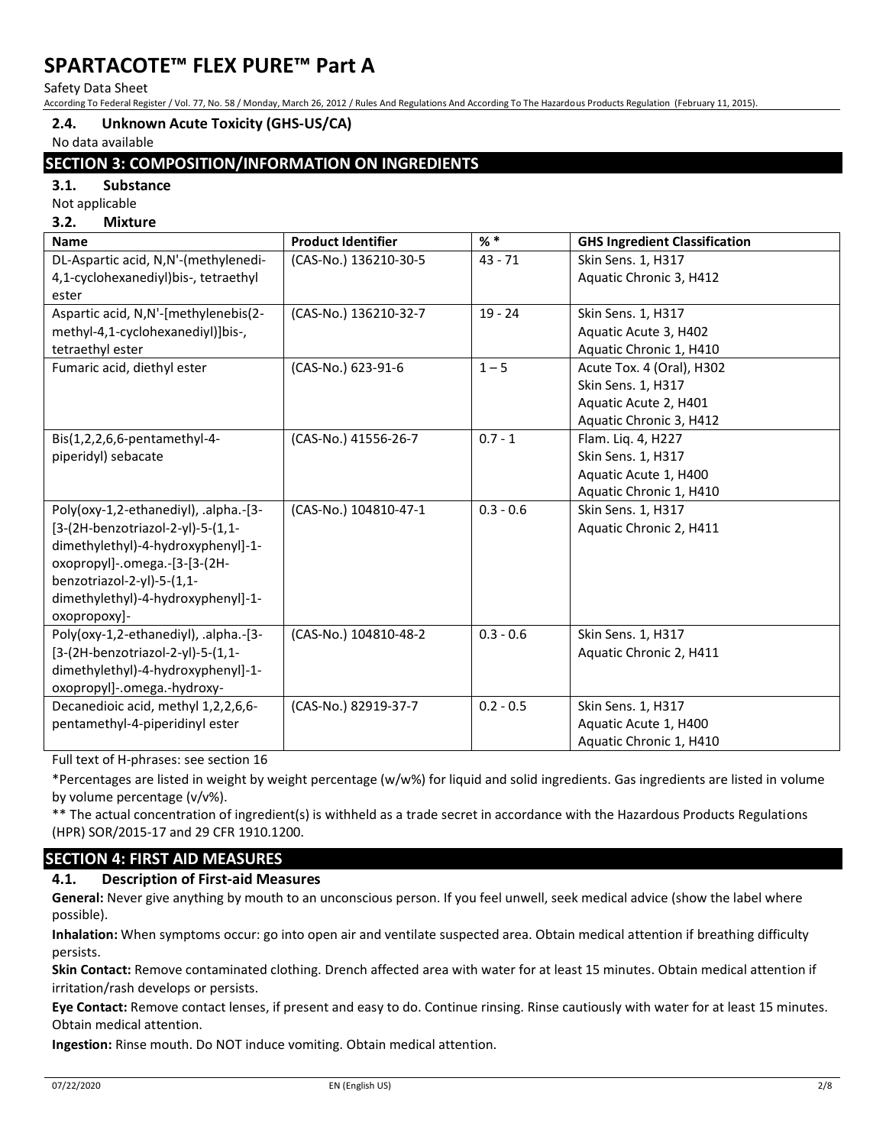Safety Data Sheet

According To Federal Register / Vol. 77, No. 58 / Monday, March 26, 2012 / Rules And Regulations And According To The Hazardous Products Regulation (February 11, 2015).

## **2.4. Unknown Acute Toxicity (GHS-US/CA)**

No data available

## **SECTION 3: COMPOSITION/INFORMATION ON INGREDIENTS**

**3.1. Substance**

Not applicable

## **3.2. Mixture**

| <b>Name</b>                           | <b>Product Identifier</b> | $\% *$      | <b>GHS Ingredient Classification</b> |
|---------------------------------------|---------------------------|-------------|--------------------------------------|
| DL-Aspartic acid, N,N'-(methylenedi-  | (CAS-No.) 136210-30-5     | $43 - 71$   | Skin Sens. 1, H317                   |
| 4,1-cyclohexanediyl)bis-, tetraethyl  |                           |             | Aquatic Chronic 3, H412              |
| ester                                 |                           |             |                                      |
| Aspartic acid, N,N'-[methylenebis(2-  | (CAS-No.) 136210-32-7     | $19 - 24$   | Skin Sens. 1, H317                   |
| methyl-4,1-cyclohexanediyl)]bis-,     |                           |             | Aquatic Acute 3, H402                |
| tetraethyl ester                      |                           |             | Aquatic Chronic 1, H410              |
| Fumaric acid, diethyl ester           | (CAS-No.) 623-91-6        | $1 - 5$     | Acute Tox. 4 (Oral), H302            |
|                                       |                           |             | Skin Sens. 1, H317                   |
|                                       |                           |             | Aquatic Acute 2, H401                |
|                                       |                           |             | Aquatic Chronic 3, H412              |
| Bis(1,2,2,6,6-pentamethyl-4-          | (CAS-No.) 41556-26-7      | $0.7 - 1$   | Flam. Liq. 4, H227                   |
| piperidyl) sebacate                   |                           |             | Skin Sens. 1, H317                   |
|                                       |                           |             | Aquatic Acute 1, H400                |
|                                       |                           |             | Aquatic Chronic 1, H410              |
| Poly(oxy-1,2-ethanediyl), .alpha.-[3- | (CAS-No.) 104810-47-1     | $0.3 - 0.6$ | Skin Sens. 1, H317                   |
| [3-(2H-benzotriazol-2-yl)-5-(1,1-     |                           |             | Aquatic Chronic 2, H411              |
| dimethylethyl)-4-hydroxyphenyl]-1-    |                           |             |                                      |
| oxopropyl]-.omega.-[3-[3-(2H-         |                           |             |                                      |
| benzotriazol-2-yl)-5-(1,1-            |                           |             |                                      |
| dimethylethyl)-4-hydroxyphenyl]-1-    |                           |             |                                      |
| oxopropoxy]-                          |                           |             |                                      |
| Poly(oxy-1,2-ethanediyl), .alpha.-[3- | (CAS-No.) 104810-48-2     | $0.3 - 0.6$ | Skin Sens. 1, H317                   |
| [3-(2H-benzotriazol-2-yl)-5-(1,1-     |                           |             | Aquatic Chronic 2, H411              |
| dimethylethyl)-4-hydroxyphenyl]-1-    |                           |             |                                      |
| oxopropyl]-.omega.-hydroxy-           |                           |             |                                      |
| Decanedioic acid, methyl 1,2,2,6,6-   | (CAS-No.) 82919-37-7      | $0.2 - 0.5$ | Skin Sens. 1, H317                   |
| pentamethyl-4-piperidinyl ester       |                           |             | Aquatic Acute 1, H400                |
|                                       |                           |             | Aquatic Chronic 1, H410              |

Full text of H-phrases: see section 16

\*Percentages are listed in weight by weight percentage (w/w%) for liquid and solid ingredients. Gas ingredients are listed in volume by volume percentage (v/v%).

\*\* The actual concentration of ingredient(s) is withheld as a trade secret in accordance with the Hazardous Products Regulations (HPR) SOR/2015-17 and 29 CFR 1910.1200.

## **SECTION 4: FIRST AID MEASURES**

## **4.1. Description of First-aid Measures**

**General:** Never give anything by mouth to an unconscious person. If you feel unwell, seek medical advice (show the label where possible).

**Inhalation:** When symptoms occur: go into open air and ventilate suspected area. Obtain medical attention if breathing difficulty persists.

**Skin Contact:** Remove contaminated clothing. Drench affected area with water for at least 15 minutes. Obtain medical attention if irritation/rash develops or persists.

**Eye Contact:** Remove contact lenses, if present and easy to do. Continue rinsing. Rinse cautiously with water for at least 15 minutes. Obtain medical attention.

**Ingestion:** Rinse mouth. Do NOT induce vomiting. Obtain medical attention.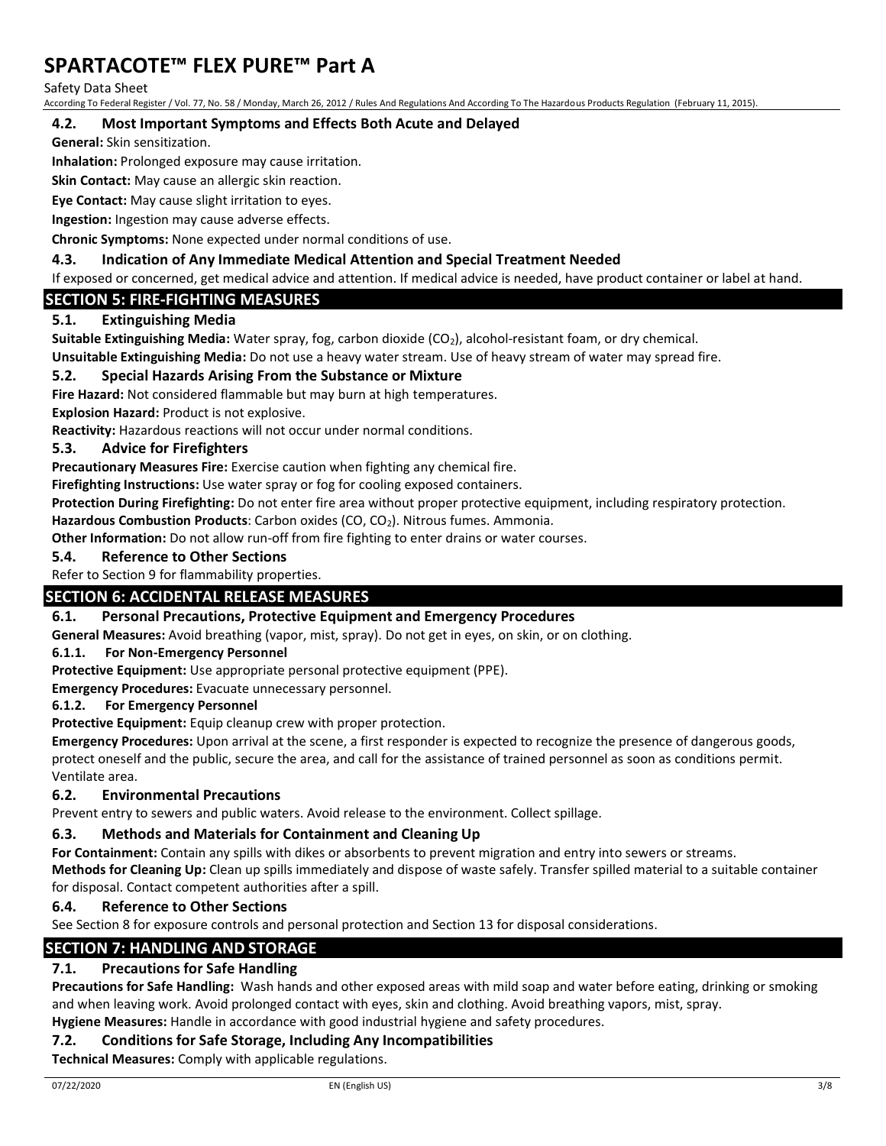Safety Data Sheet

According To Federal Register / Vol. 77, No. 58 / Monday, March 26, 2012 / Rules And Regulations And According To The Hazardous Products Regulation (February 11, 2015).

## **4.2. Most Important Symptoms and Effects Both Acute and Delayed**

**General:** Skin sensitization.

**Inhalation:** Prolonged exposure may cause irritation.

**Skin Contact:** May cause an allergic skin reaction.

**Eye Contact:** May cause slight irritation to eyes.

**Ingestion:** Ingestion may cause adverse effects.

**Chronic Symptoms:** None expected under normal conditions of use.

### **4.3. Indication of Any Immediate Medical Attention and Special Treatment Needed**

If exposed or concerned, get medical advice and attention. If medical advice is needed, have product container or label at hand.

## **SECTION 5: FIRE-FIGHTING MEASURES**

## **5.1. Extinguishing Media**

**Suitable Extinguishing Media:** Water spray, fog, carbon dioxide (CO<sub>2</sub>), alcohol-resistant foam, or dry chemical.

**Unsuitable Extinguishing Media:** Do not use a heavy water stream. Use of heavy stream of water may spread fire.

### **5.2. Special Hazards Arising From the Substance or Mixture**

**Fire Hazard:** Not considered flammable but may burn at high temperatures.

**Explosion Hazard:** Product is not explosive.

**Reactivity:** Hazardous reactions will not occur under normal conditions.

### **5.3. Advice for Firefighters**

**Precautionary Measures Fire:** Exercise caution when fighting any chemical fire.

**Firefighting Instructions:** Use water spray or fog for cooling exposed containers.

**Protection During Firefighting:** Do not enter fire area without proper protective equipment, including respiratory protection.

**Hazardous Combustion Products**: Carbon oxides (CO, CO<sub>2</sub>). Nitrous fumes. Ammonia.

**Other Information:** Do not allow run-off from fire fighting to enter drains or water courses.

#### **5.4. Reference to Other Sections**

Refer to Section 9 for flammability properties.

## **SECTION 6: ACCIDENTAL RELEASE MEASURES**

### **6.1. Personal Precautions, Protective Equipment and Emergency Procedures**

**General Measures:** Avoid breathing (vapor, mist, spray). Do not get in eyes, on skin, or on clothing.

### **6.1.1. For Non-Emergency Personnel**

**Protective Equipment:** Use appropriate personal protective equipment (PPE).

**Emergency Procedures:** Evacuate unnecessary personnel.

#### **6.1.2. For Emergency Personnel**

**Protective Equipment:** Equip cleanup crew with proper protection.

**Emergency Procedures:** Upon arrival at the scene, a first responder is expected to recognize the presence of dangerous goods, protect oneself and the public, secure the area, and call for the assistance of trained personnel as soon as conditions permit. Ventilate area.

### **6.2. Environmental Precautions**

Prevent entry to sewers and public waters. Avoid release to the environment. Collect spillage.

### **6.3. Methods and Materials for Containment and Cleaning Up**

**For Containment:** Contain any spills with dikes or absorbents to prevent migration and entry into sewers or streams.

**Methods for Cleaning Up:** Clean up spills immediately and dispose of waste safely. Transfer spilled material to a suitable container for disposal. Contact competent authorities after a spill.

### **6.4. Reference to Other Sections**

See Section 8 for exposure controls and personal protection and Section 13 for disposal considerations.

## **SECTION 7: HANDLING AND STORAGE**

## **7.1. Precautions for Safe Handling**

**Precautions for Safe Handling:** Wash hands and other exposed areas with mild soap and water before eating, drinking or smoking and when leaving work. Avoid prolonged contact with eyes, skin and clothing. Avoid breathing vapors, mist, spray. **Hygiene Measures:** Handle in accordance with good industrial hygiene and safety procedures.

## **7.2. Conditions for Safe Storage, Including Any Incompatibilities**

**Technical Measures:** Comply with applicable regulations.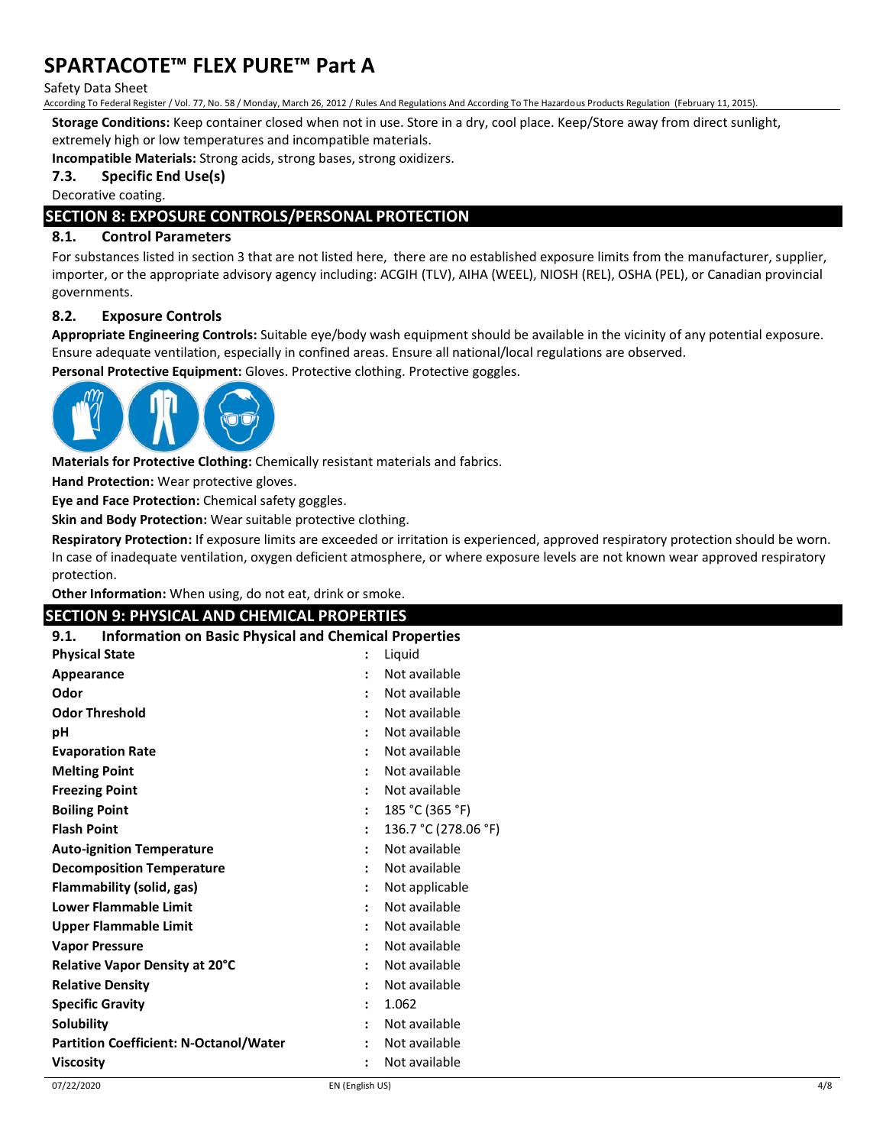#### Safety Data Sheet

According To Federal Register / Vol. 77, No. 58 / Monday, March 26, 2012 / Rules And Regulations And According To The Hazardous Products Regulation (February 11, 2015).

**Storage Conditions:** Keep container closed when not in use. Store in a dry, cool place. Keep/Store away from direct sunlight,

extremely high or low temperatures and incompatible materials.

**Incompatible Materials:** Strong acids, strong bases, strong oxidizers.

#### **7.3. Specific End Use(s)**

Decorative coating.

## **SECTION 8: EXPOSURE CONTROLS/PERSONAL PROTECTION**

### **8.1. Control Parameters**

For substances listed in section 3 that are not listed here, there are no established exposure limits from the manufacturer, supplier, importer, or the appropriate advisory agency including: ACGIH (TLV), AIHA (WEEL), NIOSH (REL), OSHA (PEL), or Canadian provincial governments.

#### **8.2. Exposure Controls**

**Appropriate Engineering Controls:** Suitable eye/body wash equipment should be available in the vicinity of any potential exposure. Ensure adequate ventilation, especially in confined areas. Ensure all national/local regulations are observed.

**Personal Protective Equipment:** Gloves. Protective clothing. Protective goggles.



**Materials for Protective Clothing:** Chemically resistant materials and fabrics.

**Hand Protection:** Wear protective gloves.

**Eye and Face Protection:** Chemical safety goggles.

**Skin and Body Protection:** Wear suitable protective clothing.

**Respiratory Protection:** If exposure limits are exceeded or irritation is experienced, approved respiratory protection should be worn. In case of inadequate ventilation, oxygen deficient atmosphere, or where exposure levels are not known wear approved respiratory protection.

**Other Information:** When using, do not eat, drink or smoke.

### **SECTION 9: PHYSICAL AND CHEMICAL PROPERTIES**

| <b>Information on Basic Physical and Chemical Properties</b><br>9.1. |                      |                      |
|----------------------------------------------------------------------|----------------------|----------------------|
| <b>Physical State</b>                                                |                      | Liquid               |
| Appearance                                                           |                      | Not available        |
| Odor                                                                 |                      | Not available        |
| <b>Odor Threshold</b>                                                |                      | Not available        |
| рH                                                                   |                      | Not available        |
| <b>Evaporation Rate</b>                                              |                      | Not available        |
| <b>Melting Point</b>                                                 |                      | Not available        |
| <b>Freezing Point</b>                                                |                      | Not available        |
| <b>Boiling Point</b>                                                 |                      | 185 °C (365 °F)      |
| <b>Flash Point</b>                                                   |                      | 136.7 °C (278.06 °F) |
| <b>Auto-ignition Temperature</b>                                     |                      | Not available        |
| <b>Decomposition Temperature</b>                                     |                      | Not available        |
| Flammability (solid, gas)                                            |                      | Not applicable       |
| <b>Lower Flammable Limit</b>                                         |                      | Not available        |
| <b>Upper Flammable Limit</b>                                         |                      | Not available        |
| <b>Vapor Pressure</b>                                                |                      | Not available        |
| Relative Vapor Density at 20°C                                       |                      | Not available        |
| <b>Relative Density</b>                                              |                      | Not available        |
| <b>Specific Gravity</b>                                              |                      | 1.062                |
| <b>Solubility</b>                                                    |                      | Not available        |
| <b>Partition Coefficient: N-Octanol/Water</b>                        |                      | Not available        |
| <b>Viscosity</b>                                                     | $\ddot{\phantom{a}}$ | Not available        |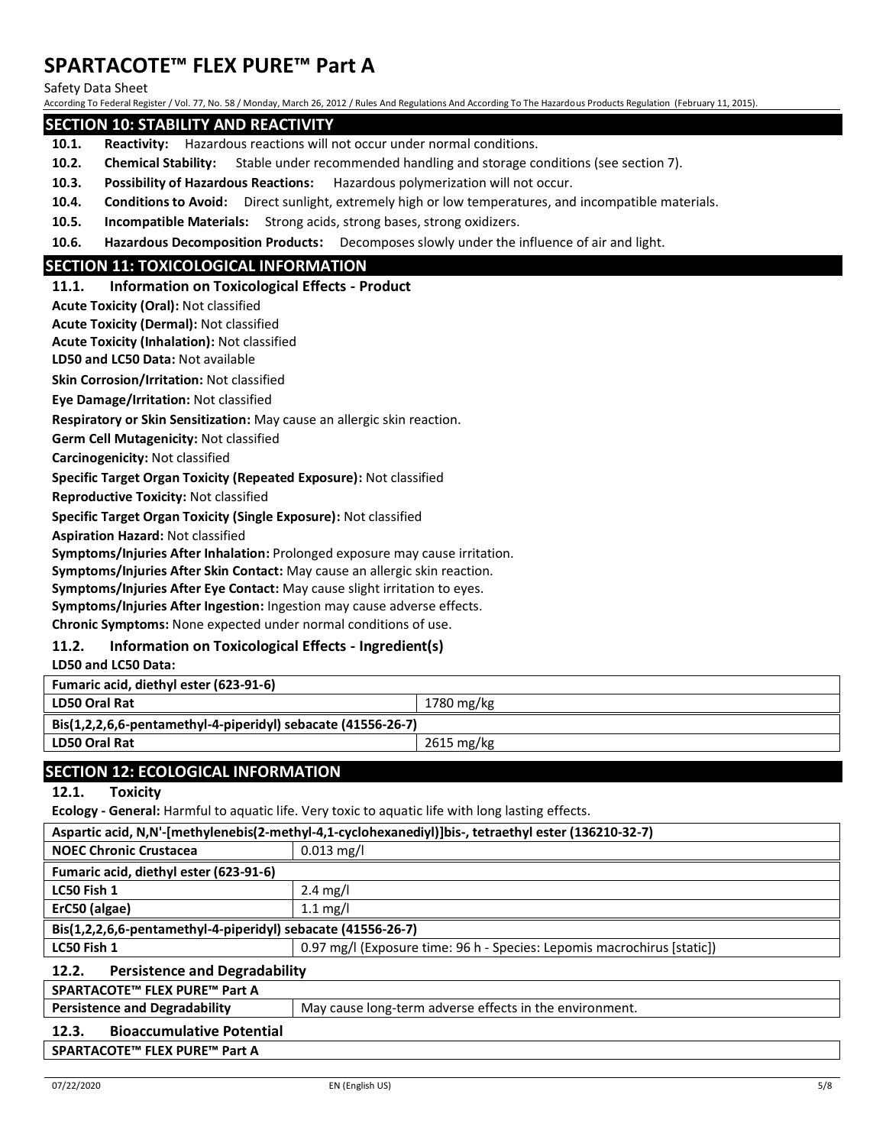Safety Data Sheet

According To Federal Register / Vol. 77, No. 58 / Monday, March 26, 2012 / Rules And Regulations And According To The Hazardous Products Regulation (February 11, 2015).

### **SECTION 10: STABILITY AND REACTIVITY**

- **10.1. Reactivity:** Hazardous reactions will not occur under normal conditions.
- **10.2. Chemical Stability:** Stable under recommended handling and storage conditions (see section 7).
- **10.3. Possibility of Hazardous Reactions:** Hazardous polymerization will not occur.
- **10.4. Conditions to Avoid:** Direct sunlight, extremely high or low temperatures, and incompatible materials.
- **10.5. Incompatible Materials:** Strong acids, strong bases, strong oxidizers.
- **10.6. Hazardous Decomposition Products:** Decomposes slowly under the influence of air and light.

## **SECTION 11: TOXICOLOGICAL INFORMATION**

#### **11.1. Information on Toxicological Effects - Product**

**Acute Toxicity (Oral):** Not classified

**Acute Toxicity (Dermal):** Not classified

**Acute Toxicity (Inhalation):** Not classified

**LD50 and LC50 Data:** Not available

**Skin Corrosion/Irritation:** Not classified

**Eye Damage/Irritation:** Not classified

**Respiratory or Skin Sensitization:** May cause an allergic skin reaction.

**Germ Cell Mutagenicity:** Not classified

**Carcinogenicity:** Not classified

**Specific Target Organ Toxicity (Repeated Exposure):** Not classified

**Reproductive Toxicity:** Not classified

**Specific Target Organ Toxicity (Single Exposure):** Not classified

**Aspiration Hazard:** Not classified

**Symptoms/Injuries After Inhalation:** Prolonged exposure may cause irritation.

**Symptoms/Injuries After Skin Contact:** May cause an allergic skin reaction.

**Symptoms/Injuries After Eye Contact:** May cause slight irritation to eyes.

**Symptoms/Injuries After Ingestion:** Ingestion may cause adverse effects.

**Chronic Symptoms:** None expected under normal conditions of use.

## **11.2. Information on Toxicological Effects - Ingredient(s)**

**LD50 and LC50 Data:**

| <b>Fumaric acid, diethyl ester (623-91-6)</b>                                |            |  |
|------------------------------------------------------------------------------|------------|--|
| LD50 Oral Rat                                                                | 1780 mg/kg |  |
| $\text{Bis}(1,2,2,6,6\text{-}pentamethyl-4-piperidy!)$ sebacate (41556-26-7) |            |  |
| LD50 Oral Rat                                                                | 2615 mg/kg |  |
|                                                                              |            |  |

## **SECTION 12: ECOLOGICAL INFORMATION**

**12.1. Toxicity**

**Ecology - General:** Harmful to aquatic life. Very toxic to aquatic life with long lasting effects.

| Aspartic acid, N,N'-[methylenebis(2-methyl-4,1-cyclohexanediyl)]bis-, tetraethyl ester (136210-32-7) |                                                         |  |
|------------------------------------------------------------------------------------------------------|---------------------------------------------------------|--|
| <b>NOEC Chronic Crustacea</b>                                                                        | $0.013$ mg/l                                            |  |
| Fumaric acid, diethyl ester (623-91-6)                                                               |                                                         |  |
| LC50 Fish 1                                                                                          | $2.4 \text{ mg/l}$                                      |  |
| ErC50 (algae)                                                                                        | $1.1 \text{ mg/l}$                                      |  |
| Bis(1,2,2,6,6-pentamethyl-4-piperidyl) sebacate (41556-26-7)                                         |                                                         |  |
| 0.97 mg/l (Exposure time: 96 h - Species: Lepomis macrochirus [static])<br>LC50 Fish 1               |                                                         |  |
| <b>Persistence and Degradability</b><br>12.2.                                                        |                                                         |  |
| SPARTACOTE™ FLEX PURE™ Part A                                                                        |                                                         |  |
| <b>Persistence and Degradability</b>                                                                 | May cause long-term adverse effects in the environment. |  |
| <b>Bioaccumulative Potential</b><br>12.3.                                                            |                                                         |  |
| SPARTACOTE™ FLEX PURE™ Part A                                                                        |                                                         |  |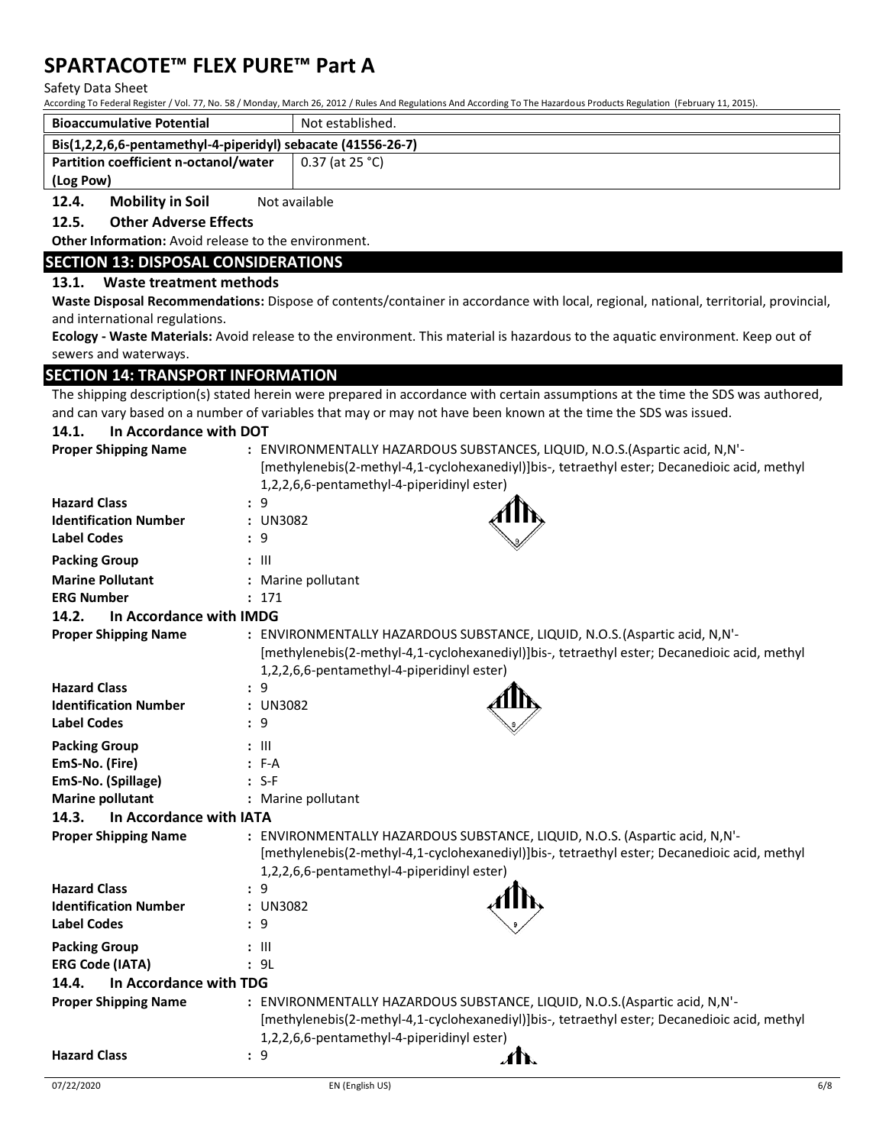#### Safety Data Sheet

According To Federal Register / Vol. 77, No. 58 / Monday, March 26, 2012 / Rules And Regulations And According To The Hazardous Products Regulation (February 11, 2015).

| <b>Bioaccumulative Potential</b>                             | Not established. |  |
|--------------------------------------------------------------|------------------|--|
| Bis(1,2,2,6,6-pentamethyl-4-piperidyl) sebacate (41556-26-7) |                  |  |
| Partition coefficient n-octanol/water                        | 0.37 (at 25 °C)  |  |
| (Log Pow)                                                    |                  |  |

**12.4.** Mobility in Soil Not available

## **12.5. Other Adverse Effects**

**Other Information:** Avoid release to the environment.

## **SECTION 13: DISPOSAL CONSIDERATIONS**

## **13.1. Waste treatment methods**

**Waste Disposal Recommendations:** Dispose of contents/container in accordance with local, regional, national, territorial, provincial, and international regulations.

**Ecology - Waste Materials:** Avoid release to the environment. This material is hazardous to the aquatic environment. Keep out of sewers and waterways.

### **SECTION 14: TRANSPORT INFORMATION**

The shipping description(s) stated herein were prepared in accordance with certain assumptions at the time the SDS was authored, and can vary based on a number of variables that may or may not have been known at the time the SDS was issued.

| In Accordance with DOT<br>14.1.  |                                                                                                                                                                                                                            |
|----------------------------------|----------------------------------------------------------------------------------------------------------------------------------------------------------------------------------------------------------------------------|
| <b>Proper Shipping Name</b>      | : ENVIRONMENTALLY HAZARDOUS SUBSTANCES, LIQUID, N.O.S. (Aspartic acid, N,N'-<br>[methylenebis(2-methyl-4,1-cyclohexanediyl)]bis-, tetraethyl ester; Decanedioic acid, methyl<br>1,2,2,6,6-pentamethyl-4-piperidinyl ester) |
| <b>Hazard Class</b>              | : 9                                                                                                                                                                                                                        |
| <b>Identification Number</b>     | : UN3082                                                                                                                                                                                                                   |
| <b>Label Codes</b>               | : 9                                                                                                                                                                                                                        |
| <b>Packing Group</b>             | $: \mathbb{H}$                                                                                                                                                                                                             |
| <b>Marine Pollutant</b>          | : Marine pollutant                                                                                                                                                                                                         |
| <b>ERG Number</b>                | : 171                                                                                                                                                                                                                      |
| 14.2.<br>In Accordance with IMDG |                                                                                                                                                                                                                            |
| <b>Proper Shipping Name</b>      | : ENVIRONMENTALLY HAZARDOUS SUBSTANCE, LIQUID, N.O.S. (Aspartic acid, N,N'-<br>[methylenebis(2-methyl-4,1-cyclohexanediyl)]bis-, tetraethyl ester; Decanedioic acid, methyl<br>1,2,2,6,6-pentamethyl-4-piperidinyl ester)  |
| <b>Hazard Class</b>              | : 9                                                                                                                                                                                                                        |
| <b>Identification Number</b>     | : UN3082                                                                                                                                                                                                                   |
| <b>Label Codes</b>               | : 9                                                                                                                                                                                                                        |
| <b>Packing Group</b>             | $: \mathsf{III}$                                                                                                                                                                                                           |
| EmS-No. (Fire)                   | $: F-A$                                                                                                                                                                                                                    |
| EmS-No. (Spillage)               | $: S-F$                                                                                                                                                                                                                    |
| <b>Marine pollutant</b>          | : Marine pollutant                                                                                                                                                                                                         |
| 14.3.<br>In Accordance with IATA |                                                                                                                                                                                                                            |
| <b>Proper Shipping Name</b>      | : ENVIRONMENTALLY HAZARDOUS SUBSTANCE, LIQUID, N.O.S. (Aspartic acid, N,N'-<br>[methylenebis(2-methyl-4,1-cyclohexanediyl)]bis-, tetraethyl ester; Decanedioic acid, methyl<br>1,2,2,6,6-pentamethyl-4-piperidinyl ester)  |
| <b>Hazard Class</b>              | : 9                                                                                                                                                                                                                        |
| <b>Identification Number</b>     | : UN3082                                                                                                                                                                                                                   |
| <b>Label Codes</b>               | : 9                                                                                                                                                                                                                        |
| <b>Packing Group</b>             | $: \mathbb{H}$                                                                                                                                                                                                             |
| <b>ERG Code (IATA)</b>           | : 9L                                                                                                                                                                                                                       |
| 14.4.<br>In Accordance with TDG  |                                                                                                                                                                                                                            |
| <b>Proper Shipping Name</b>      | : ENVIRONMENTALLY HAZARDOUS SUBSTANCE, LIQUID, N.O.S. (Aspartic acid, N,N'-                                                                                                                                                |

| $1.0001$ simpling require | EN THOMPHEN HILL TIME MOOD SOBSTANCE, ENCOID, INCREADING GOID, INTERNATION |                                                                                              |
|---------------------------|----------------------------------------------------------------------------|----------------------------------------------------------------------------------------------|
|                           |                                                                            | [methylenebis(2-methyl-4,1-cyclohexanediyl)]bis-, tetraethyl ester; Decanedioic acid, methyl |
|                           | 1,2,2,6,6-pentamethyl-4-piperidinyl ester)                                 |                                                                                              |
| <b>Hazard Class</b>       | $\mathcal{A}$                                                              |                                                                                              |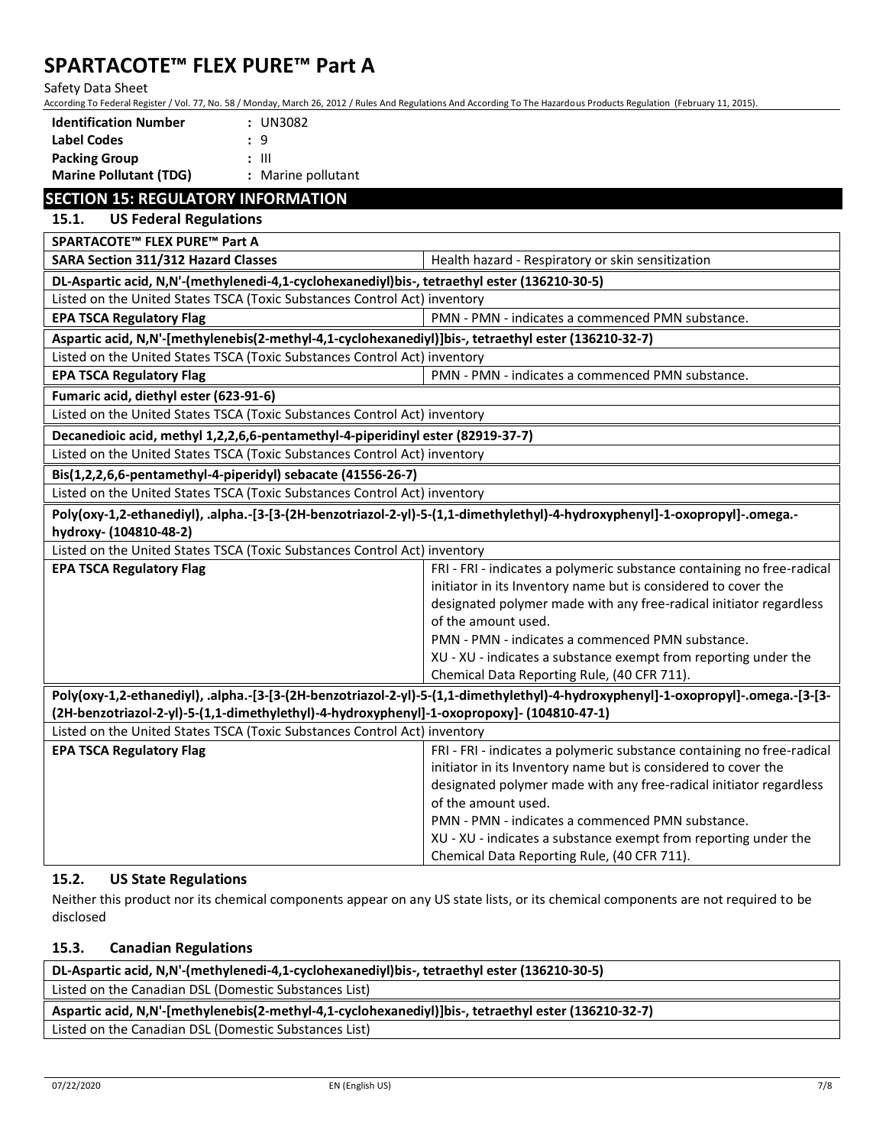Safety Data Sheet

According To Federal Register / Vol. 77, No. 58 / Monday, March 26, 2012 / Rules And Regulations And According To The Hazardous Products Regulation (February 11, 2015).

| <b>Identification Number</b><br>: UN3082                                                                                                                                |                                                                                                                                   |  |
|-------------------------------------------------------------------------------------------------------------------------------------------------------------------------|-----------------------------------------------------------------------------------------------------------------------------------|--|
| <b>Label Codes</b><br>: 9                                                                                                                                               |                                                                                                                                   |  |
| <b>Packing Group</b><br>$: \mathbb{H}$                                                                                                                                  |                                                                                                                                   |  |
| <b>Marine Pollutant (TDG)</b><br>: Marine pollutant                                                                                                                     |                                                                                                                                   |  |
| <b>SECTION 15: REGULATORY INFORMATION</b>                                                                                                                               |                                                                                                                                   |  |
| 15.1.<br><b>US Federal Regulations</b>                                                                                                                                  |                                                                                                                                   |  |
| SPARTACOTE™ FLEX PURE™ Part A                                                                                                                                           |                                                                                                                                   |  |
| SARA Section 311/312 Hazard Classes                                                                                                                                     | Health hazard - Respiratory or skin sensitization                                                                                 |  |
| DL-Aspartic acid, N,N'-(methylenedi-4,1-cyclohexanediyl)bis-, tetraethyl ester (136210-30-5)                                                                            |                                                                                                                                   |  |
| Listed on the United States TSCA (Toxic Substances Control Act) inventory                                                                                               |                                                                                                                                   |  |
| <b>EPA TSCA Regulatory Flag</b>                                                                                                                                         | PMN - PMN - indicates a commenced PMN substance.                                                                                  |  |
| Aspartic acid, N,N'-[methylenebis(2-methyl-4,1-cyclohexanediyl)]bis-, tetraethyl ester (136210-32-7)                                                                    |                                                                                                                                   |  |
| Listed on the United States TSCA (Toxic Substances Control Act) inventory                                                                                               |                                                                                                                                   |  |
| <b>EPA TSCA Regulatory Flag</b>                                                                                                                                         | PMN - PMN - indicates a commenced PMN substance.                                                                                  |  |
| Fumaric acid, diethyl ester (623-91-6)                                                                                                                                  |                                                                                                                                   |  |
| Listed on the United States TSCA (Toxic Substances Control Act) inventory                                                                                               |                                                                                                                                   |  |
| Decanedioic acid, methyl 1,2,2,6,6-pentamethyl-4-piperidinyl ester (82919-37-7)                                                                                         |                                                                                                                                   |  |
| Listed on the United States TSCA (Toxic Substances Control Act) inventory                                                                                               |                                                                                                                                   |  |
| Bis(1,2,2,6,6-pentamethyl-4-piperidyl) sebacate (41556-26-7)                                                                                                            |                                                                                                                                   |  |
| Listed on the United States TSCA (Toxic Substances Control Act) inventory                                                                                               |                                                                                                                                   |  |
|                                                                                                                                                                         | Poly(oxy-1,2-ethanediyl), .alpha.-[3-[3-(2H-benzotriazol-2-yl)-5-(1,1-dimethylethyl)-4-hydroxyphenyl]-1-oxopropyl]-.omega.-       |  |
| hydroxy- (104810-48-2)                                                                                                                                                  |                                                                                                                                   |  |
| Listed on the United States TSCA (Toxic Substances Control Act) inventory                                                                                               |                                                                                                                                   |  |
| <b>EPA TSCA Regulatory Flag</b>                                                                                                                                         | FRI - FRI - indicates a polymeric substance containing no free-radical                                                            |  |
|                                                                                                                                                                         | initiator in its Inventory name but is considered to cover the                                                                    |  |
|                                                                                                                                                                         | designated polymer made with any free-radical initiator regardless                                                                |  |
|                                                                                                                                                                         | of the amount used.                                                                                                               |  |
|                                                                                                                                                                         | PMN - PMN - indicates a commenced PMN substance.                                                                                  |  |
|                                                                                                                                                                         | XU - XU - indicates a substance exempt from reporting under the                                                                   |  |
|                                                                                                                                                                         | Chemical Data Reporting Rule, (40 CFR 711).                                                                                       |  |
|                                                                                                                                                                         | Poly(oxy-1,2-ethanediyl), .alpha.-[3-[3-(2H-benzotriazol-2-yl)-5-(1,1-dimethylethyl)-4-hydroxyphenyl]-1-oxopropyl]-.omega.-[3-[3- |  |
| (2H-benzotriazol-2-yl)-5-(1,1-dimethylethyl)-4-hydroxyphenyl]-1-oxopropoxy]- (104810-47-1)<br>Listed on the United States TSCA (Toxic Substances Control Act) inventory |                                                                                                                                   |  |
| <b>EPA TSCA Regulatory Flag</b>                                                                                                                                         | FRI - FRI - indicates a polymeric substance containing no free-radical                                                            |  |
|                                                                                                                                                                         | initiator in its Inventory name but is considered to cover the                                                                    |  |
|                                                                                                                                                                         | designated polymer made with any free-radical initiator regardless                                                                |  |
|                                                                                                                                                                         | of the amount used.                                                                                                               |  |
|                                                                                                                                                                         | PMN - PMN - indicates a commenced PMN substance.                                                                                  |  |
|                                                                                                                                                                         | XU - XU - indicates a substance exempt from reporting under the                                                                   |  |
|                                                                                                                                                                         | Chemical Data Reporting Rule, (40 CFR 711).                                                                                       |  |

## **15.2. US State Regulations**

Neither this product nor its chemical components appear on any US state lists, or its chemical components are not required to be disclosed

## **15.3. Canadian Regulations**

| DL-Aspartic acid, N,N'-(methylenedi-4,1-cyclohexanediyl)bis-, tetraethyl ester (136210-30-5)         |  |  |
|------------------------------------------------------------------------------------------------------|--|--|
| Listed on the Canadian DSL (Domestic Substances List)                                                |  |  |
| Aspartic acid, N,N'-[methylenebis(2-methyl-4,1-cyclohexanediyl)]bis-, tetraethyl ester (136210-32-7) |  |  |
| Listed on the Canadian DSL (Domestic Substances List)                                                |  |  |